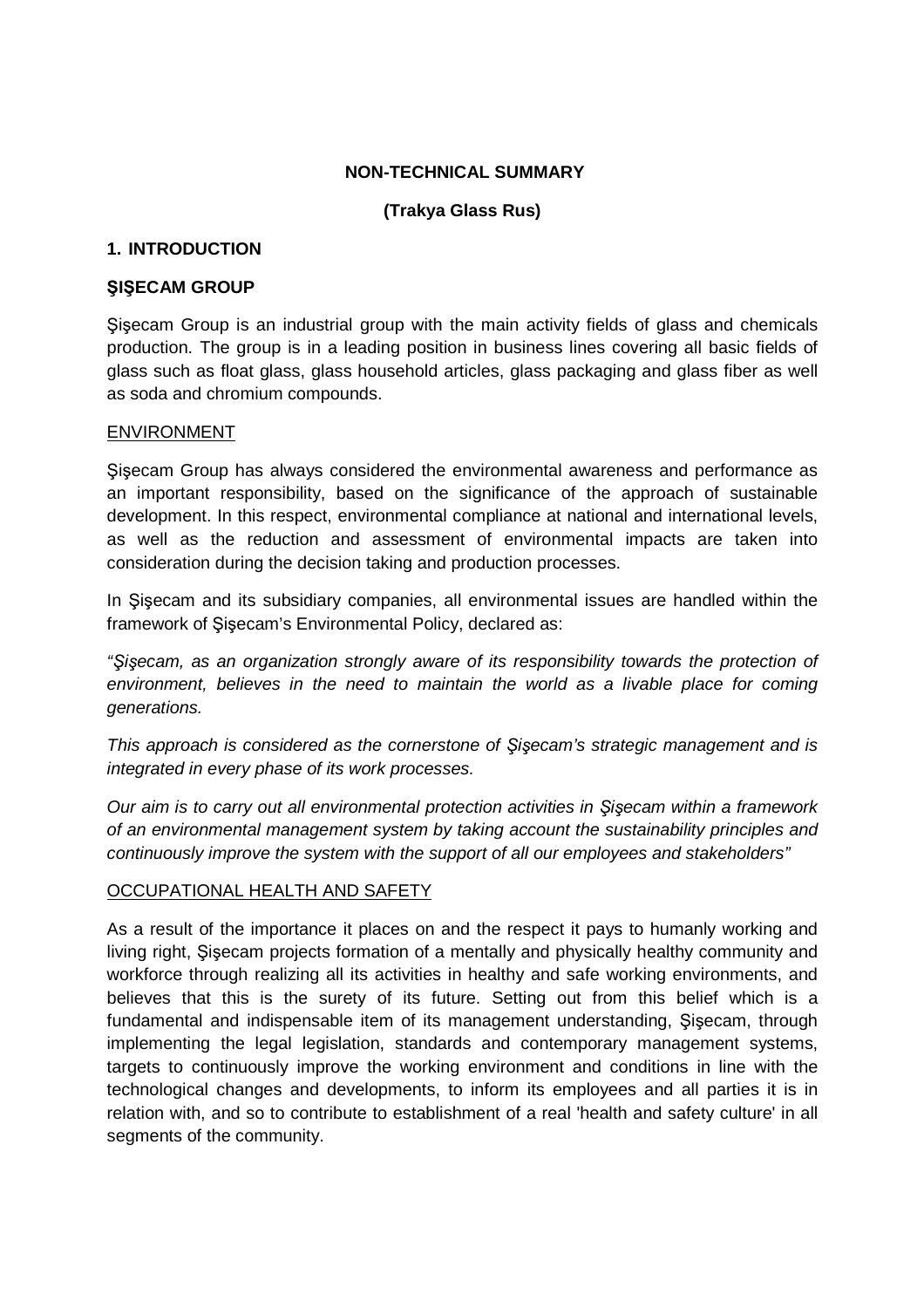### **NON-TECHNICAL SUMMARY**

## **(Trakya Glass Rus)**

### **1. INTRODUCTION**

### **ŞIŞECAM GROUP**

Şişecam Group is an industrial group with the main activity fields of glass and chemicals production. The group is in a leading position in business lines covering all basic fields of glass such as float glass, glass household articles, glass packaging and glass fiber as well as soda and chromium compounds.

#### ENVIRONMENT

Şişecam Group has always considered the environmental awareness and performance as an important responsibility, based on the significance of the approach of sustainable development. In this respect, environmental compliance at national and international levels, as well as the reduction and assessment of environmental impacts are taken into consideration during the decision taking and production processes.

In Şişecam and its subsidiary companies, all environmental issues are handled within the framework of Şişecam's Environmental Policy, declared as:

"*Ş*i*ş*ecam, as an organization strongly aware of its responsibility towards the protection of environment, believes in the need to maintain the world as a livable place for coming generations.

This approach is considered as the cornerstone of *Ş*i*ş*ecam's strategic management and is integrated in every phase of its work processes.

Our aim is to carry out all environmental protection activities in *Ş*i*ş*ecam within a framework of an environmental management system by taking account the sustainability principles and continuously improve the system with the support of all our employees and stakeholders"

### OCCUPATIONAL HEALTH AND SAFETY

As a result of the importance it places on and the respect it pays to humanly working and living right, Şişecam projects formation of a mentally and physically healthy community and workforce through realizing all its activities in healthy and safe working environments, and believes that this is the surety of its future. Setting out from this belief which is a fundamental and indispensable item of its management understanding, Şişecam, through implementing the legal legislation, standards and contemporary management systems, targets to continuously improve the working environment and conditions in line with the technological changes and developments, to inform its employees and all parties it is in relation with, and so to contribute to establishment of a real 'health and safety culture' in all segments of the community.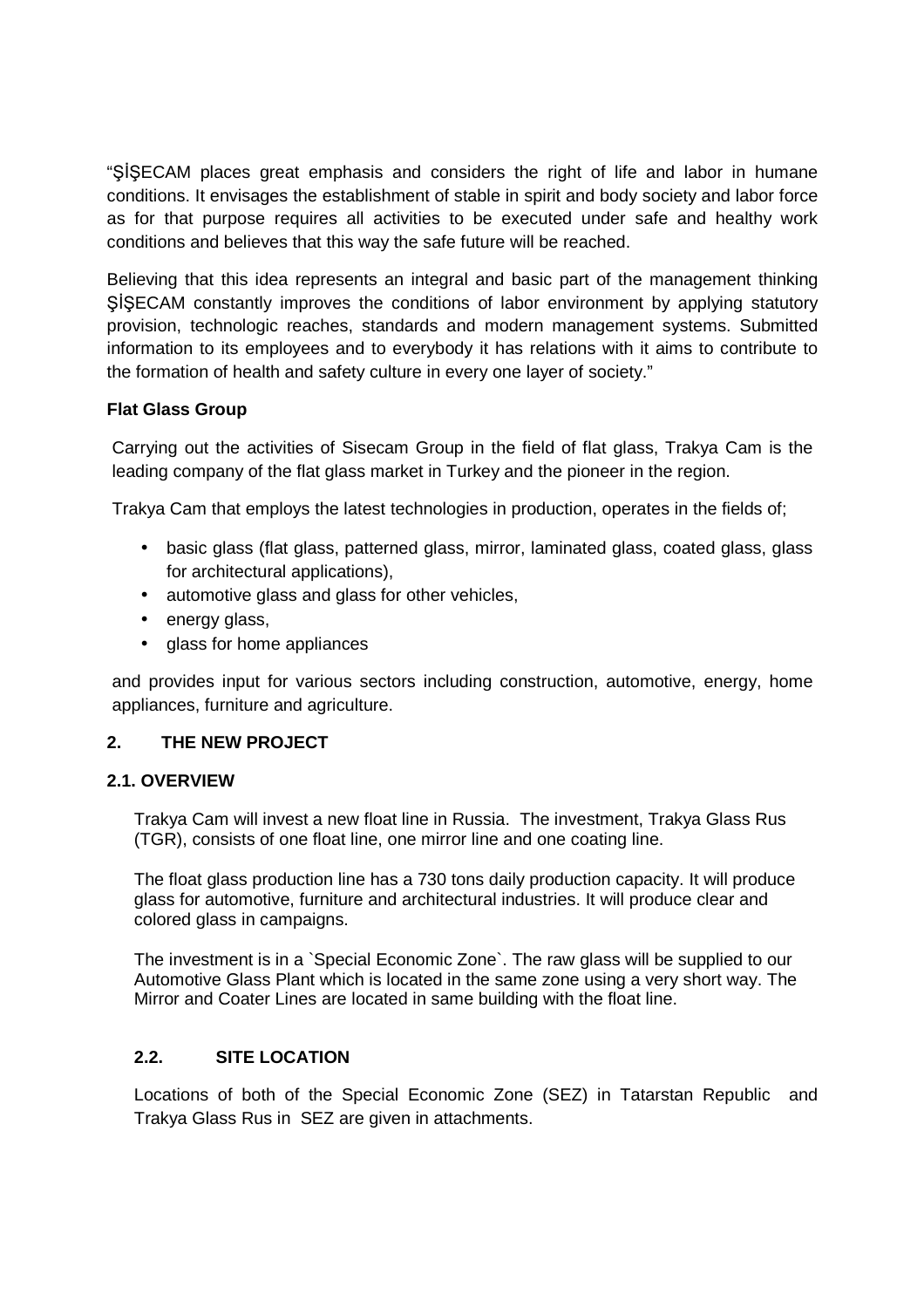"ŞİŞECAM places great emphasis and considers the right of life and labor in humane conditions. It envisages the establishment of stable in spirit and body society and labor force as for that purpose requires all activities to be executed under safe and healthy work conditions and believes that this way the safe future will be reached.

Believing that this idea represents an integral and basic part of the management thinking ŞİŞECAM constantly improves the conditions of labor environment by applying statutory provision, technologic reaches, standards and modern management systems. Submitted information to its employees and to everybody it has relations with it aims to contribute to the formation of health and safety culture in every one layer of society."

### **Flat Glass Group**

Carrying out the activities of Sisecam Group in the field of flat glass, Trakya Cam is the leading company of the flat glass market in Turkey and the pioneer in the region.

Trakya Cam that employs the latest technologies in production, operates in the fields of;

- basic glass (flat glass, patterned glass, mirror, laminated glass, coated glass, glass for architectural applications),
- automotive glass and glass for other vehicles,
- energy glass,
- glass for home appliances

and provides input for various sectors including construction, automotive, energy, home appliances, furniture and agriculture.

### **2. THE NEW PROJECT**

### **2.1. OVERVIEW**

Trakya Cam will invest a new float line in Russia. The investment, Trakya Glass Rus (TGR), consists of one float line, one mirror line and one coating line.

The float glass production line has a 730 tons daily production capacity. It will produce glass for automotive, furniture and architectural industries. It will produce clear and colored glass in campaigns.

The investment is in a `Special Economic Zone`. The raw glass will be supplied to our Automotive Glass Plant which is located in the same zone using a very short way. The Mirror and Coater Lines are located in same building with the float line.

### **2.2. SITE LOCATION**

Locations of both of the Special Economic Zone (SEZ) in Tatarstan Republic and Trakya Glass Rus in SEZ are given in attachments.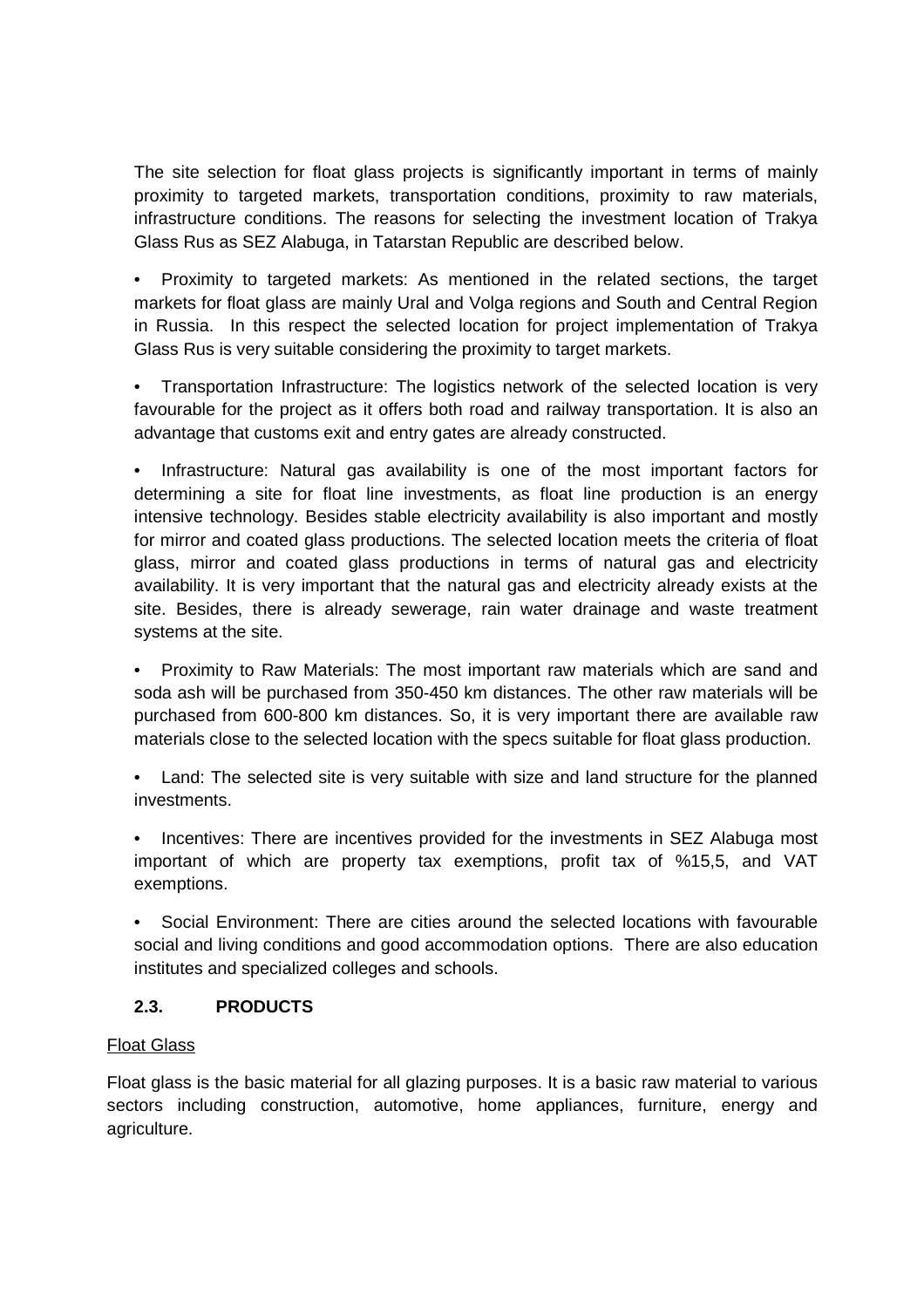The site selection for float glass projects is significantly important in terms of mainly proximity to targeted markets, transportation conditions, proximity to raw materials, infrastructure conditions. The reasons for selecting the investment location of Trakya Glass Rus as SEZ Alabuga, in Tatarstan Republic are described below.

• Proximity to targeted markets: As mentioned in the related sections, the target markets for float glass are mainly Ural and Volga regions and South and Central Region in Russia. In this respect the selected location for project implementation of Trakya Glass Rus is very suitable considering the proximity to target markets.

• Transportation Infrastructure: The logistics network of the selected location is very favourable for the project as it offers both road and railway transportation. It is also an advantage that customs exit and entry gates are already constructed.

• Infrastructure: Natural gas availability is one of the most important factors for determining a site for float line investments, as float line production is an energy intensive technology. Besides stable electricity availability is also important and mostly for mirror and coated glass productions. The selected location meets the criteria of float glass, mirror and coated glass productions in terms of natural gas and electricity availability. It is very important that the natural gas and electricity already exists at the site. Besides, there is already sewerage, rain water drainage and waste treatment systems at the site.

• Proximity to Raw Materials: The most important raw materials which are sand and soda ash will be purchased from 350-450 km distances. The other raw materials will be purchased from 600-800 km distances. So, it is very important there are available raw materials close to the selected location with the specs suitable for float glass production.

• Land: The selected site is very suitable with size and land structure for the planned investments.

Incentives: There are incentives provided for the investments in SEZ Alabuga most important of which are property tax exemptions, profit tax of %15,5, and VAT exemptions.

• Social Environment: There are cities around the selected locations with favourable social and living conditions and good accommodation options. There are also education institutes and specialized colleges and schools.

## **2.3. PRODUCTS**

## Float Glass

Float glass is the basic material for all glazing purposes. It is a basic raw material to various sectors including construction, automotive, home appliances, furniture, energy and agriculture.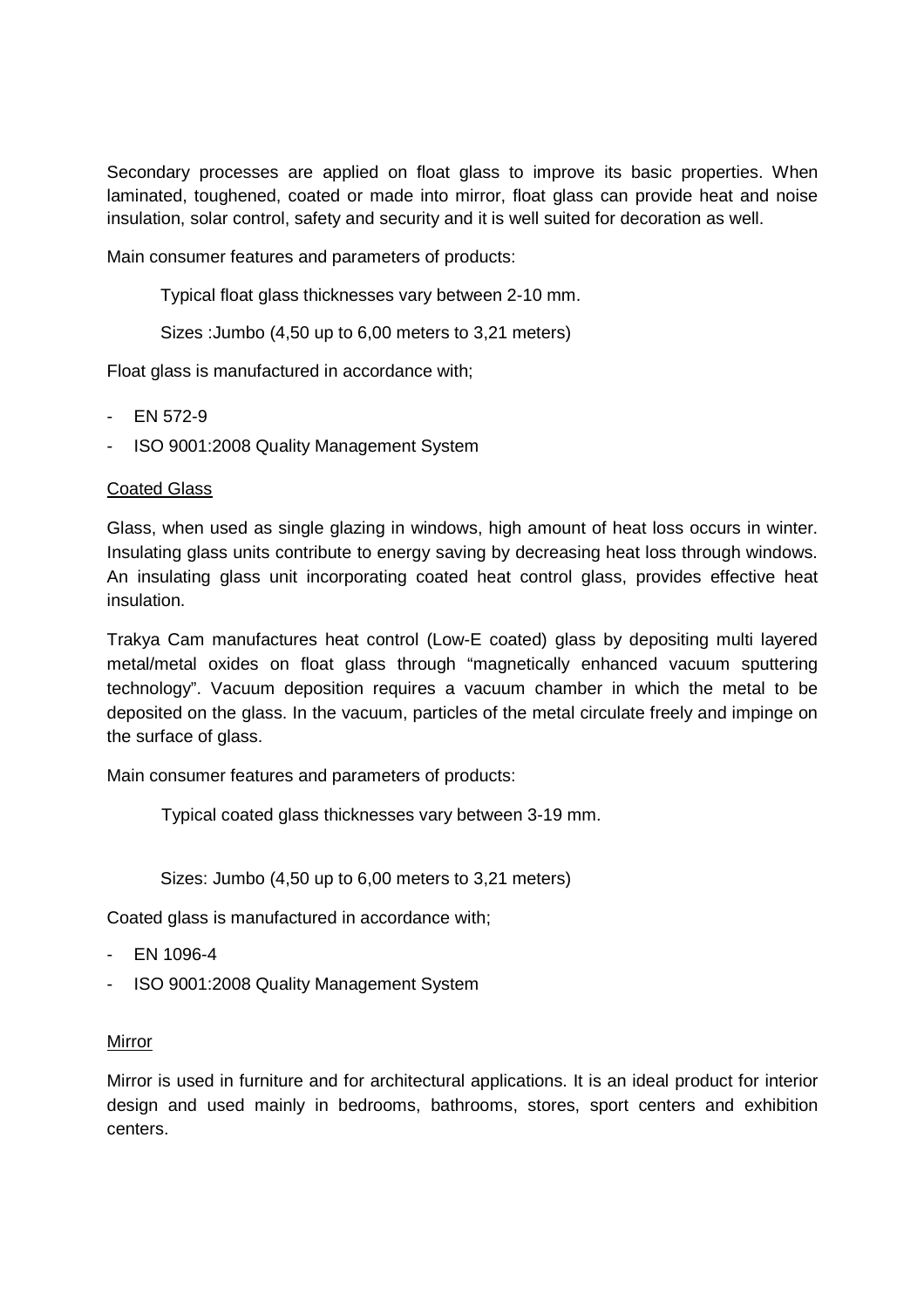Secondary processes are applied on float glass to improve its basic properties. When laminated, toughened, coated or made into mirror, float glass can provide heat and noise insulation, solar control, safety and security and it is well suited for decoration as well.

Main consumer features and parameters of products:

Typical float glass thicknesses vary between 2-10 mm.

Sizes :Jumbo (4,50 up to 6,00 meters to 3,21 meters)

Float glass is manufactured in accordance with;

- EN 572-9
- ISO 9001:2008 Quality Management System

### Coated Glass

Glass, when used as single glazing in windows, high amount of heat loss occurs in winter. Insulating glass units contribute to energy saving by decreasing heat loss through windows. An insulating glass unit incorporating coated heat control glass, provides effective heat insulation.

Trakya Cam manufactures heat control (Low-E coated) glass by depositing multi layered metal/metal oxides on float glass through "magnetically enhanced vacuum sputtering technology". Vacuum deposition requires a vacuum chamber in which the metal to be deposited on the glass. In the vacuum, particles of the metal circulate freely and impinge on the surface of glass.

Main consumer features and parameters of products:

Typical coated glass thicknesses vary between 3-19 mm.

Sizes: Jumbo (4,50 up to 6,00 meters to 3,21 meters)

Coated glass is manufactured in accordance with;

- EN 1096-4
- ISO 9001:2008 Quality Management System

### Mirror

Mirror is used in furniture and for architectural applications. It is an ideal product for interior design and used mainly in bedrooms, bathrooms, stores, sport centers and exhibition centers.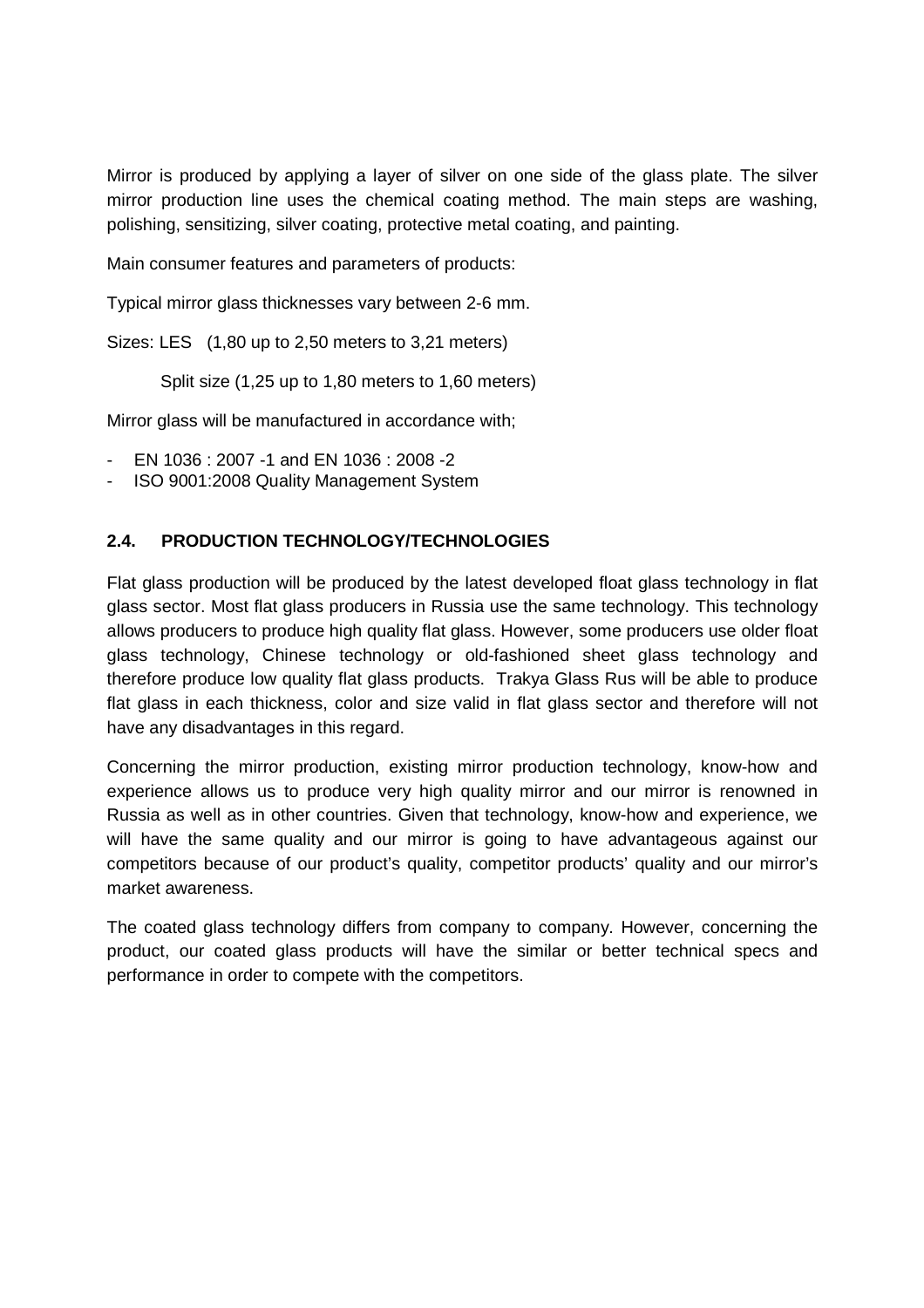Mirror is produced by applying a layer of silver on one side of the glass plate. The silver mirror production line uses the chemical coating method. The main steps are washing, polishing, sensitizing, silver coating, protective metal coating, and painting.

Main consumer features and parameters of products:

Typical mirror glass thicknesses vary between 2-6 mm.

Sizes: LES (1,80 up to 2,50 meters to 3,21 meters)

Split size (1,25 up to 1,80 meters to 1,60 meters)

Mirror glass will be manufactured in accordance with;

- EN 1036 : 2007 -1 and EN 1036 : 2008 -2
- ISO 9001:2008 Quality Management System

## **2.4. PRODUCTION TECHNOLOGY/TECHNOLOGIES**

Flat glass production will be produced by the latest developed float glass technology in flat glass sector. Most flat glass producers in Russia use the same technology. This technology allows producers to produce high quality flat glass. However, some producers use older float glass technology, Chinese technology or old-fashioned sheet glass technology and therefore produce low quality flat glass products. Trakya Glass Rus will be able to produce flat glass in each thickness, color and size valid in flat glass sector and therefore will not have any disadvantages in this regard.

Concerning the mirror production, existing mirror production technology, know-how and experience allows us to produce very high quality mirror and our mirror is renowned in Russia as well as in other countries. Given that technology, know-how and experience, we will have the same quality and our mirror is going to have advantageous against our competitors because of our product's quality, competitor products' quality and our mirror's market awareness.

The coated glass technology differs from company to company. However, concerning the product, our coated glass products will have the similar or better technical specs and performance in order to compete with the competitors.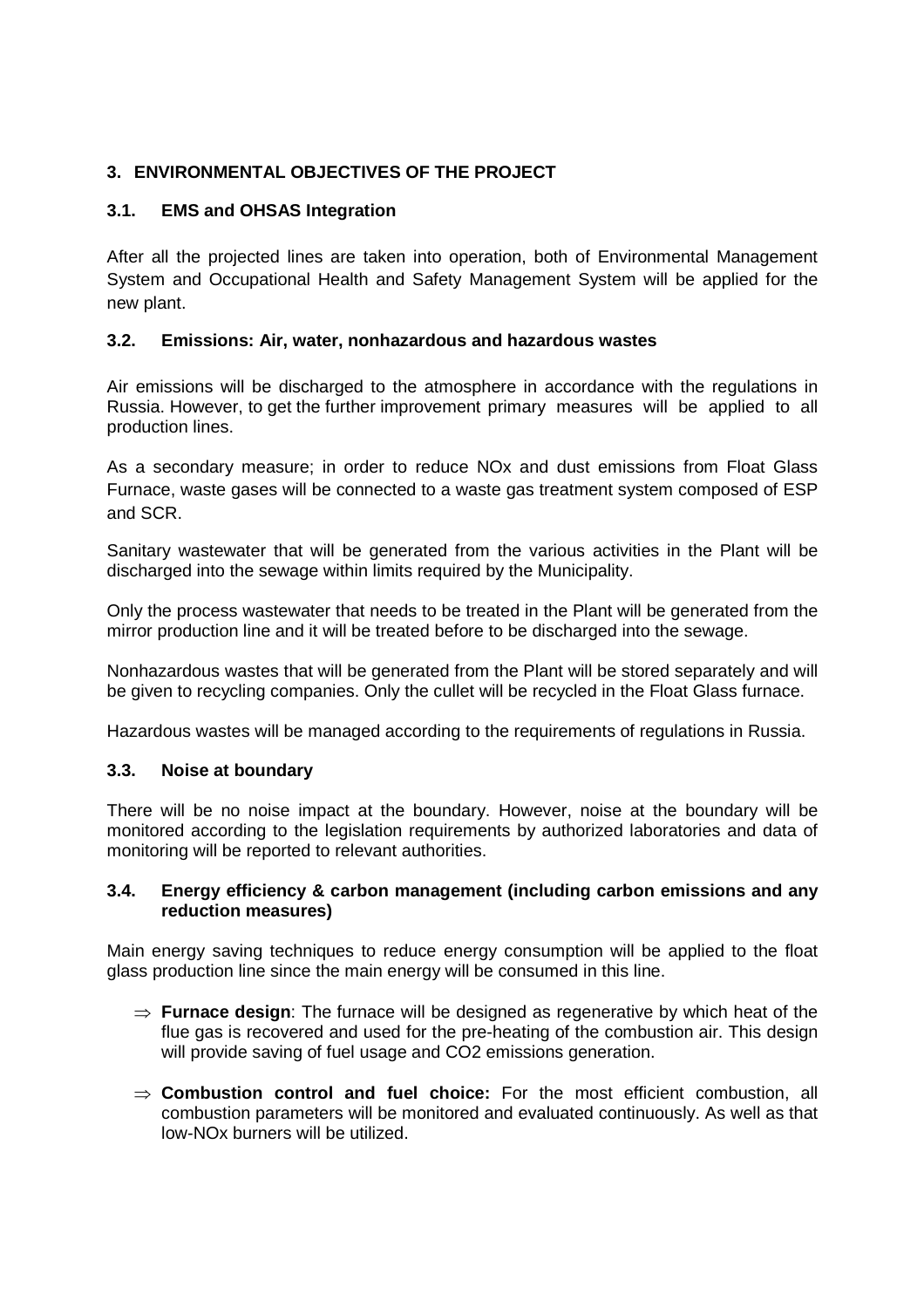# **3. ENVIRONMENTAL OBJECTIVES OF THE PROJECT**

### **3.1. EMS and OHSAS Integration**

After all the projected lines are taken into operation, both of Environmental Management System and Occupational Health and Safety Management System will be applied for the new plant.

### **3.2. Emissions: Air, water, nonhazardous and hazardous wastes**

Air emissions will be discharged to the atmosphere in accordance with the regulations in Russia. However, to get the further improvement primary measures will be applied to all production lines.

As a secondary measure; in order to reduce NOx and dust emissions from Float Glass Furnace, waste gases will be connected to a waste gas treatment system composed of ESP and SCR.

Sanitary wastewater that will be generated from the various activities in the Plant will be discharged into the sewage within limits required by the Municipality.

Only the process wastewater that needs to be treated in the Plant will be generated from the mirror production line and it will be treated before to be discharged into the sewage.

Nonhazardous wastes that will be generated from the Plant will be stored separately and will be given to recycling companies. Only the cullet will be recycled in the Float Glass furnace.

Hazardous wastes will be managed according to the requirements of regulations in Russia.

### **3.3. Noise at boundary**

There will be no noise impact at the boundary. However, noise at the boundary will be monitored according to the legislation requirements by authorized laboratories and data of monitoring will be reported to relevant authorities.

### **3.4. Energy efficiency & carbon management (including carbon emissions and any reduction measures)**

Main energy saving techniques to reduce energy consumption will be applied to the float glass production line since the main energy will be consumed in this line.

- ⇒ **Furnace design**: The furnace will be designed as regenerative by which heat of the flue gas is recovered and used for the pre-heating of the combustion air. This design will provide saving of fuel usage and CO2 emissions generation.
- ⇒ **Combustion control and fuel choice:** For the most efficient combustion, all combustion parameters will be monitored and evaluated continuously. As well as that low-NOx burners will be utilized.